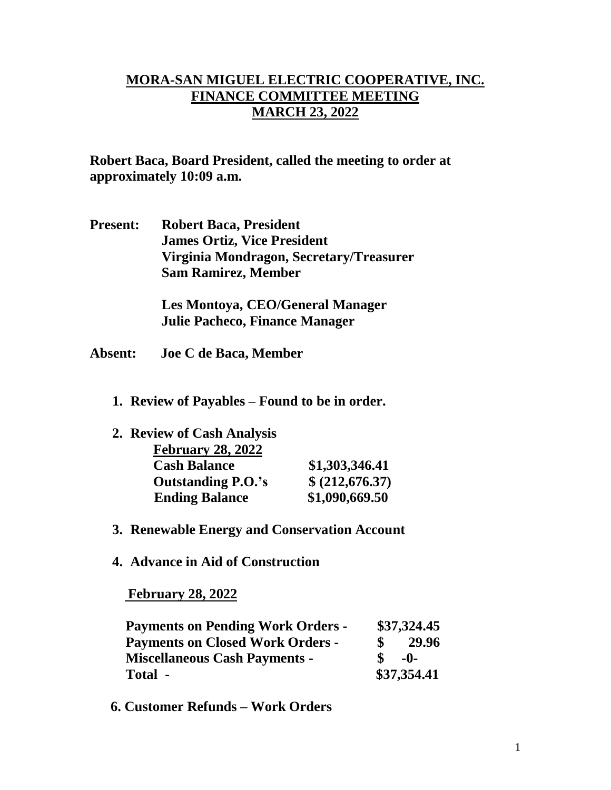## **MORA-SAN MIGUEL ELECTRIC COOPERATIVE, INC. FINANCE COMMITTEE MEETING MARCH 23, 2022**

**Robert Baca, Board President, called the meeting to order at approximately 10:09 a.m.**

**Present: Robert Baca, President James Ortiz, Vice President Virginia Mondragon, Secretary/Treasurer Sam Ramirez, Member**

> **Les Montoya, CEO/General Manager Julie Pacheco, Finance Manager**

- **Absent: Joe C de Baca, Member**
	- **1. Review of Payables – Found to be in order.**

| 2. Review of Cash Analysis |                 |
|----------------------------|-----------------|
| <b>February 28, 2022</b>   |                 |
| <b>Cash Balance</b>        | \$1,303,346.41  |
| <b>Outstanding P.O.'s</b>  | \$ (212,676.37) |
| <b>Ending Balance</b>      | \$1,090,669.50  |

- **3. Renewable Energy and Conservation Account**
- **4. Advance in Aid of Construction**

 **February 28, 2022**

| <b>Payments on Pending Work Orders -</b> |             | \$37,324.45 |  |
|------------------------------------------|-------------|-------------|--|
| <b>Payments on Closed Work Orders -</b>  |             | 29.96       |  |
| <b>Miscellaneous Cash Payments -</b>     |             | $-0-$       |  |
| Total -                                  | \$37,354.41 |             |  |

 **6. Customer Refunds – Work Orders**